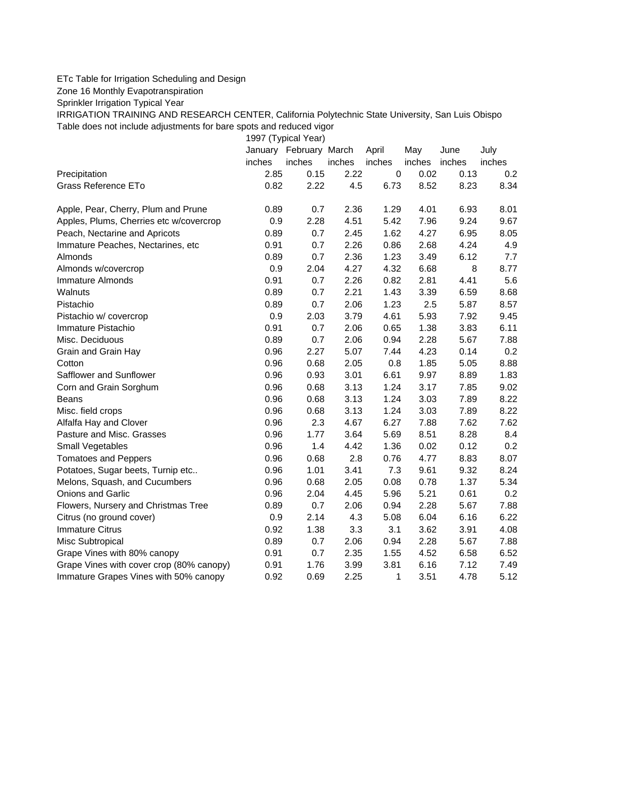## ETc Table for Irrigation Scheduling and Design

Zone 16 Monthly Evapotranspiration

Sprinkler Irrigation Typical Year

IRRIGATION TRAINING AND RESEARCH CENTER, California Polytechnic State University, San Luis Obispo Table does not include adjustments for bare spots and reduced vigor

1997 (Typical Year)

|                                          |        | January February March |        | April        | May    | June   | July   |
|------------------------------------------|--------|------------------------|--------|--------------|--------|--------|--------|
|                                          | inches | inches                 | inches | inches       | inches | inches | inches |
| Precipitation                            | 2.85   | 0.15                   | 2.22   | $\pmb{0}$    | 0.02   | 0.13   | 0.2    |
| Grass Reference ETo                      | 0.82   | 2.22                   | 4.5    | 6.73         | 8.52   | 8.23   | 8.34   |
| Apple, Pear, Cherry, Plum and Prune      | 0.89   | 0.7                    | 2.36   | 1.29         | 4.01   | 6.93   | 8.01   |
| Apples, Plums, Cherries etc w/covercrop  | 0.9    | 2.28                   | 4.51   | 5.42         | 7.96   | 9.24   | 9.67   |
| Peach, Nectarine and Apricots            | 0.89   | 0.7                    | 2.45   | 1.62         | 4.27   | 6.95   | 8.05   |
| Immature Peaches, Nectarines, etc        | 0.91   | 0.7                    | 2.26   | 0.86         | 2.68   | 4.24   | 4.9    |
| Almonds                                  | 0.89   | 0.7                    | 2.36   | 1.23         | 3.49   | 6.12   | 7.7    |
| Almonds w/covercrop                      | 0.9    | 2.04                   | 4.27   | 4.32         | 6.68   | 8      | 8.77   |
| Immature Almonds                         | 0.91   | 0.7                    | 2.26   | 0.82         | 2.81   | 4.41   | 5.6    |
| <b>Walnuts</b>                           | 0.89   | 0.7                    | 2.21   | 1.43         | 3.39   | 6.59   | 8.68   |
| Pistachio                                | 0.89   | 0.7                    | 2.06   | 1.23         | 2.5    | 5.87   | 8.57   |
| Pistachio w/ covercrop                   | 0.9    | 2.03                   | 3.79   | 4.61         | 5.93   | 7.92   | 9.45   |
| Immature Pistachio                       | 0.91   | 0.7                    | 2.06   | 0.65         | 1.38   | 3.83   | 6.11   |
| Misc. Deciduous                          | 0.89   | 0.7                    | 2.06   | 0.94         | 2.28   | 5.67   | 7.88   |
| Grain and Grain Hay                      | 0.96   | 2.27                   | 5.07   | 7.44         | 4.23   | 0.14   | 0.2    |
| Cotton                                   | 0.96   | 0.68                   | 2.05   | 0.8          | 1.85   | 5.05   | 8.88   |
| Safflower and Sunflower                  | 0.96   | 0.93                   | 3.01   | 6.61         | 9.97   | 8.89   | 1.83   |
| Corn and Grain Sorghum                   | 0.96   | 0.68                   | 3.13   | 1.24         | 3.17   | 7.85   | 9.02   |
| <b>Beans</b>                             | 0.96   | 0.68                   | 3.13   | 1.24         | 3.03   | 7.89   | 8.22   |
| Misc. field crops                        | 0.96   | 0.68                   | 3.13   | 1.24         | 3.03   | 7.89   | 8.22   |
| Alfalfa Hay and Clover                   | 0.96   | 2.3                    | 4.67   | 6.27         | 7.88   | 7.62   | 7.62   |
| Pasture and Misc. Grasses                | 0.96   | 1.77                   | 3.64   | 5.69         | 8.51   | 8.28   | 8.4    |
| Small Vegetables                         | 0.96   | 1.4                    | 4.42   | 1.36         | 0.02   | 0.12   | 0.2    |
| <b>Tomatoes and Peppers</b>              | 0.96   | 0.68                   | 2.8    | 0.76         | 4.77   | 8.83   | 8.07   |
| Potatoes, Sugar beets, Turnip etc        | 0.96   | 1.01                   | 3.41   | 7.3          | 9.61   | 9.32   | 8.24   |
| Melons, Squash, and Cucumbers            | 0.96   | 0.68                   | 2.05   | 0.08         | 0.78   | 1.37   | 5.34   |
| <b>Onions and Garlic</b>                 | 0.96   | 2.04                   | 4.45   | 5.96         | 5.21   | 0.61   | 0.2    |
| Flowers, Nursery and Christmas Tree      | 0.89   | 0.7                    | 2.06   | 0.94         | 2.28   | 5.67   | 7.88   |
| Citrus (no ground cover)                 | 0.9    | 2.14                   | 4.3    | 5.08         | 6.04   | 6.16   | 6.22   |
| <b>Immature Citrus</b>                   | 0.92   | 1.38                   | 3.3    | 3.1          | 3.62   | 3.91   | 4.08   |
| Misc Subtropical                         | 0.89   | 0.7                    | 2.06   | 0.94         | 2.28   | 5.67   | 7.88   |
| Grape Vines with 80% canopy              | 0.91   | 0.7                    | 2.35   | 1.55         | 4.52   | 6.58   | 6.52   |
| Grape Vines with cover crop (80% canopy) | 0.91   | 1.76                   | 3.99   | 3.81         | 6.16   | 7.12   | 7.49   |
| Immature Grapes Vines with 50% canopy    | 0.92   | 0.69                   | 2.25   | $\mathbf{1}$ | 3.51   | 4.78   | 5.12   |